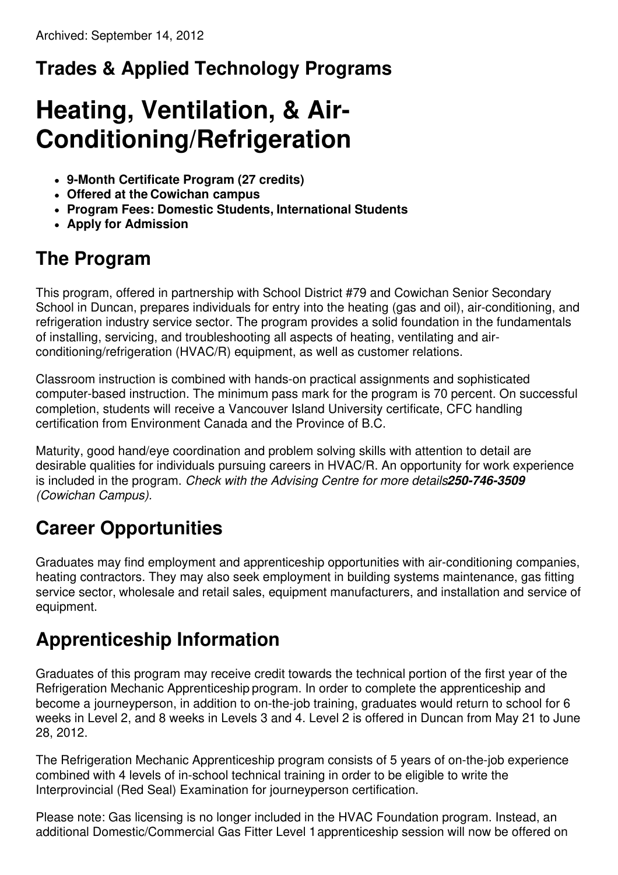# **Trades & Applied Technology Programs**

# **Heating, Ventilation, & Air-Conditioning/Refrigeration**

- **9-Month Certificate Program (27 credits)**
- **Offered at the Cowichan campus**
- **Program Fees: Domestic Students, International Students**
- **Apply for Admission**

#### **The Program**

This program, offered in partnership with School District #79 and Cowichan Senior Secondary School in Duncan, prepares individuals for entry into the heating (gas and oil), air-conditioning, and refrigeration industry service sector. The program provides a solid foundation in the fundamentals of installing, servicing, and troubleshooting all aspects of heating, ventilating and airconditioning/refrigeration (HVAC/R) equipment, as well as customer relations.

Classroom instruction is combined with hands-on practical assignments and sophisticated computer-based instruction. The minimum pass mark for the program is 70 percent. On successful completion, students will receive a Vancouver Island University certificate, CFC handling certification from Environment Canada and the Province of B.C.

Maturity, good hand/eye coordination and problem solving skills with attention to detail are desirable qualities for individuals pursuing careers in HVAC/R. An opportunity for work experience is included in the program. *Check with the Advising Centre for more details250-746-3509 (Cowichan Campus).*

## **Career Opportunities**

Graduates may find employment and apprenticeship opportunities with air-conditioning companies, heating contractors. They may also seek employment in building systems maintenance, gas fitting service sector, wholesale and retail sales, equipment manufacturers, and installation and service of equipment.

## **Apprenticeship Information**

Graduates of this program may receive credit towards the technical portion of the first year of the Refrigeration Mechanic Apprenticeship program. In order to complete the apprenticeship and become a journeyperson, in addition to on-the-job training, graduates would return to school for 6 weeks in Level 2, and 8 weeks in Levels 3 and 4. Level 2 is offered in Duncan from May 21 to June 28, 2012.

The Refrigeration Mechanic Apprenticeship program consists of 5 years of on-the-job experience combined with 4 levels of in-school technical training in order to be eligible to write the Interprovincial (Red Seal) Examination for journeyperson certification.

Please note: Gas licensing is no longer included in the HVAC Foundation program. Instead, an additional Domestic/Commercial Gas Fitter Level 1apprenticeship session will now be offered on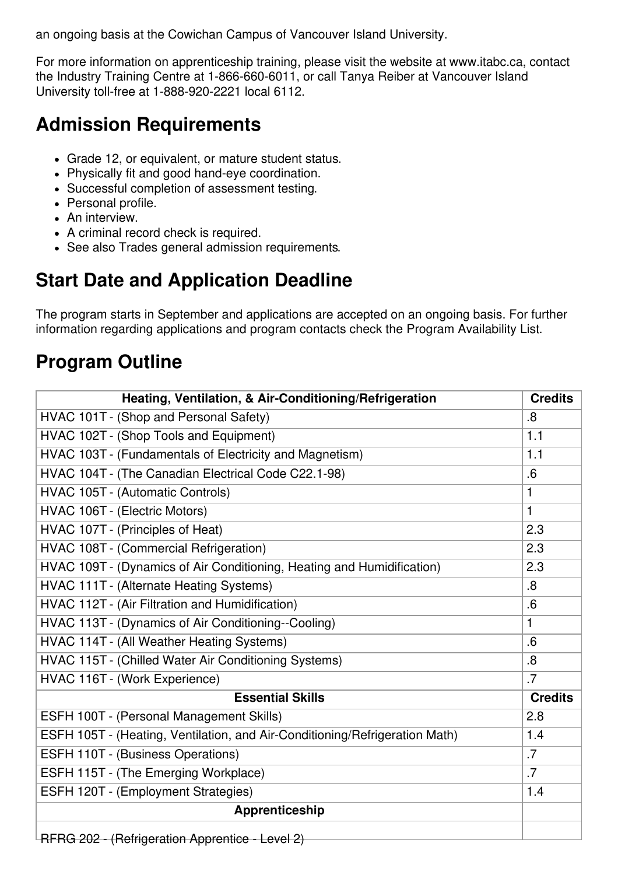an ongoing basis at the Cowichan Campus of Vancouver Island University.

For more information on apprenticeship training, please visit the website at www.itabc.ca, contact the Industry Training Centre at 1-866-660-6011, or call Tanya Reiber at Vancouver Island University toll-free at 1-888-920-2221 local 6112.

#### **Admission Requirements**

- Grade 12, or equivalent, or mature student status.
- Physically fit and good hand-eye coordination.
- Successful completion of assessment testing.
- Personal profile.
- An interview.
- A criminal record check is required.
- See also Trades general admission requirements.

#### **Start Date and Application Deadline**

The program starts in September and applications are accepted on an ongoing basis. For further information regarding applications and program contacts check the Program Availability List.

#### **Program Outline**

| Heating, Ventilation, & Air-Conditioning/Refrigeration                      | <b>Credits</b> |
|-----------------------------------------------------------------------------|----------------|
| HVAC 101T - (Shop and Personal Safety)                                      | .8             |
| HVAC 102T - (Shop Tools and Equipment)                                      | 1.1            |
| HVAC 103T - (Fundamentals of Electricity and Magnetism)                     | 1.1            |
| HVAC 104T - (The Canadian Electrical Code C22.1-98)                         | .6             |
| HVAC 105T - (Automatic Controls)                                            | 1              |
| HVAC 106T - (Electric Motors)                                               | $\mathbf{1}$   |
| HVAC 107T - (Principles of Heat)                                            | 2.3            |
| HVAC 108T - (Commercial Refrigeration)                                      | 2.3            |
| HVAC 109T - (Dynamics of Air Conditioning, Heating and Humidification)      | 2.3            |
| HVAC 111T - (Alternate Heating Systems)                                     | .8             |
| HVAC 112T - (Air Filtration and Humidification)                             | .6             |
| HVAC 113T - (Dynamics of Air Conditioning--Cooling)                         | 1              |
| HVAC 114T - (All Weather Heating Systems)                                   | .6             |
| HVAC 115T - (Chilled Water Air Conditioning Systems)                        | $\overline{8}$ |
| HVAC 116T - (Work Experience)                                               | .7             |
| <b>Essential Skills</b>                                                     | <b>Credits</b> |
| ESFH 100T - (Personal Management Skills)                                    | 2.8            |
| ESFH 105T - (Heating, Ventilation, and Air-Conditioning/Refrigeration Math) | 1.4            |
| ESFH 110T - (Business Operations)                                           | .7             |
| ESFH 115T - (The Emerging Workplace)                                        | .7             |
| ESFH 120T - (Employment Strategies)                                         | 1.4            |
| Apprenticeship                                                              |                |
| $\mathsf{DEDC}$ 202 (Defrigatetian Appropriacy Lough 2)                     |                |

RFRG 202 - (Refrigeration Apprentice - Level 2)